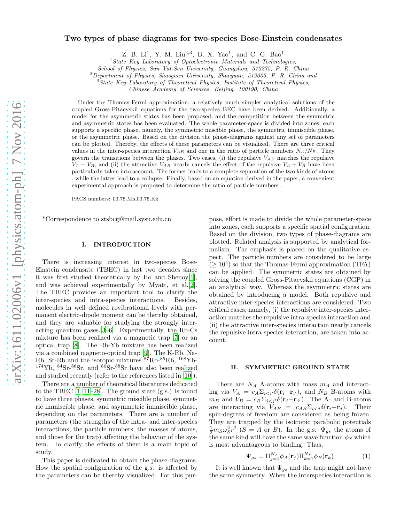## Two types of phase diagrams for two-species Bose-Einstein condensates

Z. B. Li<sup>1</sup>, Y. M. Liu<sup>2,3</sup>, D. X. Yao<sup>1</sup>, and C. G. Bao<sup>1</sup>

<sup>1</sup>*State Key Laboratory of Optoelectronic Materials and Technologies,*

*School of Physics, Sun Yat-Sen University, Guangzhou, 510275, P. R. China*

<sup>2</sup>*Department of Physics, Shaoguan University, Shaoguan, 512005, P. R. China and*

<sup>3</sup>*State Key Laboratory of Theoretical Physics, Institute of Theoretical Physics,*

*Chinese Academy of Sciences, Beijing, 100190, China*

Under the Thomas-Fermi approximation, a relatively much simpler analytical solutions of the coupled Gross-Pitaevskii equations for the two-species BEC have been derived. Additionally, a model for the asymmetric states has been proposed, and the competition between the symmetric and asymmetric states has been evaluated. The whole parameter-space is divided into zones, each supports a specific phase, namely, the symmetric miscible phase, the symmetric immiscible phase, or the asymmetric phase. Based on the division the phase-diagrams against any set of parameters can be plotted. Thereby, the effects of these parameters can be visualized. There are three critical values in the inter-species interaction  $V_{AB}$  and one in the ratio of particle numbers  $N_A/N_B$ . They govern the transitions between the phases. Two cases, (i) the repulsive  $V_{AB}$  matches the repulsive  $V_A + V_B$ , and (ii) the attractive  $V_{AB}$  nearly cancels the effect of the repulsive  $V_A + V_B$  have been particularly taken into account. The former leads to a complete separation of the two kinds of atoms , while the latter lead to a collapse. Finally, based on an equation derived in the paper, a convenient experimental approach is proposed to determine the ratio of particle numbers .

PACS numbers: 03.75.Mn,03.75.Kk

\*Correspondence to stsbcg@mail.sysu.edu.cn

#### I. INTRODUCTION

There is increasing interest in two-species Bose-Einstein condensate (TBEC) in last two decades since it was first studied theoretically by Ho and Shenoy[\[1\]](#page-6-0), and was achieved experimentally by Myatt, et al.[\[2\]](#page-6-1). The TBEC provides an important tool to clarify the inter-species and intra-species interactions. Besides, molecules in well defined rovibrational levels with permanent electric-dipole moment can be thereby obtained, and they are valuable for studying the strongly interacting quantum gases.[\[3](#page-7-0)[–6\]](#page-7-1). Experimentally, the Rb-Cs mixture has been realized via a magnetic trap [\[7](#page-7-2)] or an optical trap [\[8\]](#page-7-3). The Rb-Yb mixture has been realized via a combined magneto-optical trap [\[9\]](#page-7-4). The K-Rb, Na-Rb, Sr-Rb and the isotopic mixtures  ${}^{87}\mathrm{Rb}{}^{85}\mathrm{Rb},$   ${}^{168}\mathrm{Yb}{}$  $^{174}\text{Yb}$ ,  $^{84}\text{Sr}$ - $^{86}\text{Sr}$ , and  $^{86}\text{Sr}$ - $^{88}\text{Sr}$  have also been realized and studied recently (refer to the references listed in [\[10\]](#page-7-5)).

There are a number of theoretical literatures dedicated to the TBEC  $[1, 11-28]$  $[1, 11-28]$  $[1, 11-28]$ . The ground state  $(g.s.)$  is found to have three phases, symmetric miscible phase, symmetric immiscible phase, and asymmetric immiscible phase, depending on the parameters. There are a number of parameters (the strengths of the intra- and inter-species interactions, the particle numbers, the masses of atoms, and those for the trap) affecting the behavior of the system. To clarify the effects of them is a main topic of study.

This paper is dedicated to obtain the phase-diagrams. How the spatial configuration of the g.s. is affected by the parameters can be thereby visualized. For this pur-

pose, effort is made to divide the whole parameter-space into zones, each supports a specific spatial configuration. Based on the division, two types of phase-diagrams are plotted. Related analysis is supported by analytical formalism. The emphasis is placed on the qualitative aspect. The particle numbers are considered to be large  $( \geq 10^4)$  so that the Thomas-Fermi approximation (TFA) can be applied. The symmetric states are obtained by solving the coupled Gross-Pitaevskii equations (CGP) in an analytical way. Whereas the asymmetric states are obtained by introducing a model. Both repulsive and attractive inter-species interactions are considered. Two critical cases, namely, (i) the repulsive inter-species interaction matches the repulsive intra-species interaction and (ii) the attractive inter-species interaction nearly cancels the repulsive intra-species interaction, are taken into account.

#### II. SYMMETRIC GROUND STATE

There are  $N_A$  A-atoms with mass  $m_A$  and interacting via  $V_A = c_A \sum_{i \leq i'} \delta(\mathbf{r}_i - \mathbf{r}_{i'})$ , and  $N_B$  B-atoms with  $m_B$  and  $V_B = c_B \sum_{j < j'} \delta(\mathbf{r}_j - \mathbf{r}_{j'})$ . The A- and B-atoms are interacting via  $V_{AB} = c_{AB} \Sigma_{i \leq j} \delta(\mathbf{r}_i - \mathbf{r}_j)$ . Their spin-degrees of freedom are considered as being frozen. They are trapped by the isotropic parabolic potentials  $\frac{1}{2}m_S\omega_S^2r^2$  (S = A or B). In the g.s.  $\Psi_{gs}$  the atoms of the same kind will have the same wave function  $\phi_S$  which is most advantageous to binding. Thus,

$$
\Psi_{gs} = \Pi_{j=1}^{N_A} \phi_A(\mathbf{r}_j) \Pi_{k=1}^{N_B} \phi_B(\mathbf{r}_k)
$$
\n(1)

It is well known that  $\Psi_{gs}$  and the trap might not have the same symmetry. When the interspecies interaction is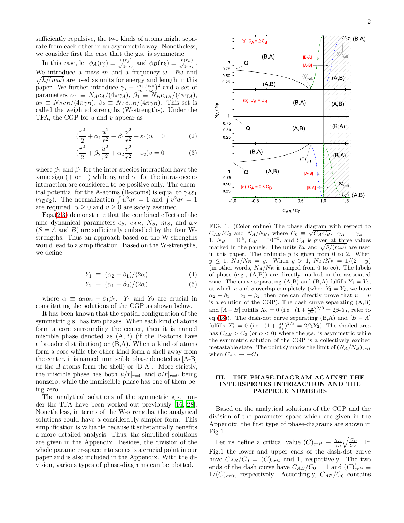sufficiently repulsive, the two kinds of atoms might separate from each other in an asymmetric way. Nonetheless, we consider first the case that the g.s. is symmetric.

In this case, let  $\phi_A(\mathbf{r}_j) \equiv \frac{u(r_j)}{\sqrt{4\pi}r_j}$  and  $\phi_B(\mathbf{r}_k) \equiv \frac{v(r_k)}{\sqrt{4\pi}r_k}$ . We introduce a mass m and a frequency  $\omega$ .  $\hbar\omega$  and  $\sqrt{\hbar/(m\omega)}$  are used as units for energy and length in this paper. We further introduce  $\gamma_s \equiv \frac{m_s}{m} (\frac{\omega s}{\omega})^2$  and a set of parameters  $\alpha_1 \equiv N_A c_A/(4\pi \gamma_A)$ ,  $\beta_1 \equiv N_B c_{AB}/(4\pi \gamma_A)$ ,  $\alpha_2 \equiv N_B c_B/(4\pi\gamma_B)$ ,  $\beta_2 \equiv N_A c_{AB}/(4\pi\gamma_B)$ . This set is called the weighted strengths (W-strengths). Under the TFA, the CGP for  $u$  and  $v$  appear as

<span id="page-1-0"></span>
$$
(\frac{r^2}{2} + \alpha_1 \frac{u^2}{r^2} + \beta_1 \frac{v^2}{r^2} - \varepsilon_1)u = 0
$$
 (2)

$$
(\frac{r^2}{2} + \beta_2 \frac{u^2}{r^2} + \alpha_2 \frac{v^2}{r^2} - \varepsilon_2)v = 0
$$
 (3)

where  $\beta_2$  and  $\beta_1$  for the inter-species interaction have the same sign (+ or -) while  $\alpha_2$  and  $\alpha_1$  for the intra-species interaction are considered to be positive only. The chemical potential for the A-atoms (B-atoms) is equal to  $\gamma_A \varepsilon_1$  $(\gamma_B \varepsilon_2)$ . The normalization  $\int u^2 dr = 1$  and  $\int v^2 dr = 1$ are required.  $u \geq 0$  and  $v \geq 0$  are safely assumed.

 $Eqs. (2,3)$  $Eqs. (2,3)$  demonstrate that the combined effects of the nine dynamical parameters  $c_S$ ,  $c_{AB}$ ,  $N_S$ ,  $m_S$ , and  $\omega_S$  $(S = A \text{ and } B)$  are sufficiently embodied by the four Wstrengths. Thus an approach based on the W-strengths would lead to a simplification. Based on the W-strengths, we define

<span id="page-1-1"></span>
$$
Y_1 \equiv (\alpha_2 - \beta_1)/(2\alpha) \tag{4}
$$

$$
Y_2 \equiv (\alpha_1 - \beta_2)/(2\alpha) \tag{5}
$$

where  $\alpha \equiv \alpha_1 \alpha_2 - \beta_1 \beta_2$ .  $Y_1$  and  $Y_2$  are crucial in constituting the solutions of the CGP as shown below.

It has been known that the spatial configuration of the symmetric g.s. has two phases. When each kind of atoms form a core surrounding the center, then it is named miscible phase denoted as (A,B) (if the B-atoms have a broader distribution) or (B,A). When a kind of atoms form a core while the other kind form a shell away from the center, it is named immiscible phase denoted as [A-B] (if the B-atoms form the shell) or [B-A].. More strictly, the miscible phase has both  $u/r|_{r=0}$  and  $v/r|_{r=0}$  being nonzero, while the immiscible phase has one of them being zero.

The analytical solutions of the symmetric g.s. under the TFA have been worked out previously [\[16,](#page-7-8) [28\]](#page-7-7). Nonetheless, in terms of the W-strengths, the analytical solutions could have a considerably simpler form. This simplification is valuable because it substantially benefits a more detailed analysis. Thus, the simplified solutions are given in the Appendix. Besides, the division of the whole parameter-space into zones is a crucial point in our paper and is also included in the Appendix. With the division, various types of phase-diagrams can be plotted.



FIG. 1: (Color online) The phase diagram with respect to  $C_{AB}/C_0$  and  $N_A/N_B$ , where  $C_0 \equiv \sqrt{C_A C_B}$ .  $\gamma_A = \gamma_B =$  $1, N_B = 10^4, C_B = 10^{-3}$ , and  $C_A$  is given at three values marked in the panels. The units  $\hbar\omega$  and  $\sqrt{\hbar/(m\omega)}$  are used in this paper. The ordinate  $y$  is given from 0 to 2. When  $y \leq 1$ ,  $N_A/N_B = y$ . When  $y > 1$ ,  $N_A/N_B = 1/(2 - y)$ (in other words,  $N_A/N_B$  is ranged from 0 to  $\infty$ ). The labels of phase (e.g., (A,B)) are directly marked in the associated zone. The curve separating  $(A,B)$  and  $(B,A)$  fulfills  $Y_1 = Y_2$ , at which u and v overlap completely (when  $Y_1 = Y_2$ , we have  $\alpha_2 - \beta_1 = \alpha_1 - \beta_2$ , then one can directly prove that  $u = v$ is a solution of the CGP). The dash curve separating (A,B) and  $[A - B]$  fulfills  $X_2 = 0$  (i.e.,  $(1 + \frac{\alpha_2}{\beta_2})^{2/3} = 2\beta_2 Y_1$ , refer to eq.[\(18\)](#page-5-0)). The dash-dot curve separating (B,A) and  $[B - A]$ fulfills  $X'_1 = 0$  (i.e.,  $(1 + \frac{\alpha_1}{\beta_1})^{2/3} = 2\beta_1 Y_2$ ). The shaded area has  $C_{AB} > C_0$  (or  $\alpha < 0$ ) where the g.s. is asymmetric while the symmetric solution of the CGP is a collectively excited metastable state. The point Q marks the limit of  $(N_A/N_B)_{crit}$ when  $C_{AB} \rightarrow -C_0$ .

### III. THE PHASE-DIAGRAM AGAINST THE INTERSPECIES INTERACTION AND THE PARTICLE NUMBERS

Based on the analytical solutions of the CGP and the division of the parameter-space which are given in the Appendix, the first type of phase-diagrams are shown in Fig.1 .

Let us define a critical value  $(C)_{crit} \equiv \frac{\gamma_A}{\gamma_B} \sqrt{\frac{C_B}{C_A}}$ . In Fig.1 the lower and upper ends of the dash-dot curve have  $C_{AB}/C_0 = (C)_{crit}$  and 1, respectively. The two ends of the dash curve have  $C_{AB}/C_0 = 1$  and  $(C)_{crit}' \equiv$  $1/(C)_{crit}$ , respectively. Accordingly,  $C_{AB}/C_0$  contains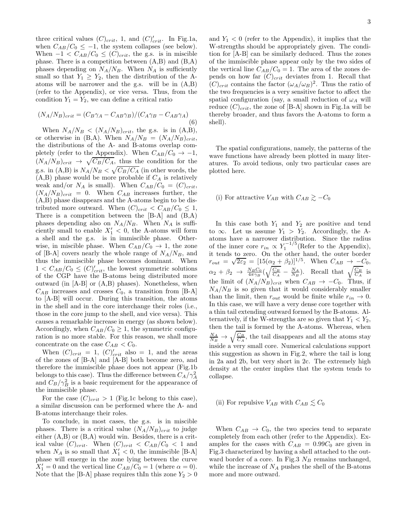three critical values  $(C)_{crit}$ , 1, and  $(C)_{crit}$ . In Fig.1a, when  $C_{AB}/C_0 \leq -1$ , the system collapses (see below). When  $-1 < C_{AB}/C_0 \leq (C)_{crit}$ , the g.s. is in miscible phase. There is a competition between (A,B) and (B,A) phases depending on  $N_A/N_B$ . When  $N_A$  is sufficiently small so that  $Y_1 \geq Y_2$ , then the distribution of the Aatoms will be narrower and the g.s. will be in (A,B) (refer to the Appendix), or vice versa. Thus, from the condition  $Y_1 = Y_2$ , we can define a critical ratio

<span id="page-2-0"></span>
$$
(N_A/N_B)_{crit} = (C_B \gamma_A - C_{AB} \gamma_B)/(C_A \gamma_B - C_{AB} \gamma_A)
$$
\n(6)

When  $N_A/N_B \langle (N_A/N_B)_{crit}$ , the g.s. is in (A,B), or otherwise in (B,A). When  $N_A/N_B = (N_A/N_B)_{crit}$ , the distributions of the A- and B-atoms overlap completely (refer to the Appendix). When  $C_{AB}/C_0 \rightarrow -1$ ,  $(N_A/N_B)_{crit}$   $\rightarrow \sqrt{C_B/C_A}$ , thus the condition for the g.s. in (A,B) is  $N_A/N_B < \sqrt{C_B/C_A}$  (in other words, the  $(A,B)$  phase would be more probable if  $C_A$  is relatively weak and/or  $N_A$  is small). When  $C_{AB}/C_0 = (C)_{crit}$ ,  $(N_A/N_B)_{crit} = 0$ . When  $C_{AB}$  increases further, the (A,B) phase disappears and the A-atoms begin to be distributed more outward. When  $(C)_{crit} < C_{AB}/C_0 \leq 1$ , There is a competition between the [B-A] and (B,A) phases depending also on  $N_A/N_B$ . When  $N_A$  is sufficiently small to enable  $X'_1 < 0$ , the A-atoms will form a shell and the g.s. is in immiscible phase. Otherwise, in miscible phase. When  $C_{AB}/C_0 \rightarrow 1$ , the zone of [B-A] covers nearly the whole range of  $N_A/N_B$ , and thus the immiscible phase becomes dominant. When  $1 < C_{AB}/C_0 \leq (C)'_{crit}$ , the lowest symmetric solutions of the CGP have the B-atoms being distributed more outward (in [A-B] or (A,B) phases). Nonetheless, when  $C_{AB}$  increases and crosses  $C_0$ , a transition from [B-A] to [A-B] will occur. During this transition, the atoms in the shell and in the core interchange their roles (i.e., those in the core jump to the shell, and vice versa). This causes a remarkable increase in energy (as shown below). Accordingly, when  $C_{AB}/C_0 \geq 1$ , the symmetric configuration is no more stable. For this reason, we shall more concentrate on the case  $C_{AB} < C_0$ .

When  $(C)_{crit} = 1$ ,  $(C)_{crit}'$  also = 1, and the areas of the zones of [B-A] and [A-B] both become zero, and therefore the immiscible phase does not appear (Fig.1b belongs to this case). Thus the difference between  $C_A/\gamma_A^2$ and  $C_B/\gamma_B^2$  is a basic requirement for the appearance of the immiscible phase.

For the case  $(C)_{crit} > 1$  (Fig.1c belong to this case), a similar discussion can be performed where the A- and B-atoms interchange their roles.

To conclude, in most cases, the g.s. is in miscible phases. There is a critical value  $(N_A/N_B)_{crit}$  to judge either (A,B) or (B,A) would win. Besides, there is a critical value  $(C)_{crit}$ . When  $(C)_{crit} < C_{AB}/C_0 < 1$  and when  $N_A$  is so small that  $X'_1 < 0$ , the immiscible [B-A] phase will emerge in the zone lying between the curve  $X'_1 = 0$  and the vertical line  $C_{AB}/C_0 = 1$  (where  $\alpha = 0$ ). Note that the [B-A] phase requires thIn this zone  $Y_2 > 0$ 

and  $Y_1 < 0$  (refer to the Appendix), it implies that the W-strengths should be appropriately given. The condition for [A-B] can be similarly deduced. Thus the zones of the immiscible phase appear only by the two sides of the vertical line  $C_{AB}/C_0 = 1$ . The area of the zones depends on how far  $(C)_{crit}$  deviates from 1. Recall that  $(C)_{crit}$  contains the factor  $(\omega_A/\omega_B)^2$ . Thus the ratio of the two frequencies is a very sensitive factor to affect the spatial configuration (say, a small reduction of  $\omega_A$  will reduce  $(C)_{crit}$ , the zone of [B-A] shown in Fig.1a will be thereby broader, and thus favors the A-atoms to form a shell).

The spatial configurations, namely, the patterns of the wave functions have already been plotted in many literatures. To avoid tedious, only two particular cases are plotted here.

# (i) For attractive  $V_{AB}$  with  $C_{AB} \gtrsim -C_0$

In this case both  $Y_1$  and  $Y_2$  are positive and tend to  $\infty$ . Let us assume  $Y_1 > Y_2$ . Accordingly, the Aatoms have a narrower distribution. Since the radius of the inner core  $r_{in} \propto Y_1^{-1/5}$  (Refer to the Appendix), it tends to zero. On the other hand, the outer border  $r_{out} = \sqrt{2\varepsilon_2} = [15(\alpha_2 + \beta_2)]^{1/5}$ . When  $C_{AB} \to -C_0$ ,  $\alpha_2 + \beta_2 \rightarrow \frac{N_B C_0}{4\pi\gamma_B} (\sqrt{\frac{C_B}{C_A}} - \frac{N_A}{N_B}).$  Recall that  $\sqrt{\frac{C_B}{C_A}}$  is the limit of  $(N_A/N_B)_{crit}$  when  $C_{AB} \rightarrow -C_0$ . Thus, if  $N_A/N_B$  is so given that it would considerably smaller than the limit, then  $r_{out}$  would be finite while  $r_{in} \rightarrow 0$ . In this case, we will have a very dense core together with a thin tail extending outward formed by the B-atoms. Alternatively, if the W-strengths are so given that  $Y_1 < Y_2$ , then the tail is formed by the A-atoms. Whereas, when  $\frac{N_A}{N_B} \rightarrow \sqrt{\frac{C_B}{C_A}}$ , the tail disappears and all the atoms stay inside a very small core. Numerical calculations support this suggestion as shown in Fig.2, where the tail is long in 2a and 2b, but very short in 2c. The extremely high density at the center implies that the system tends to collapse.

# (ii) For repulsive  $V_{AB}$  with  $C_{AB} \leq C_0$

When  $C_{AB} \rightarrow C_0$ , the two species tend to separate completely from each other (refer to the Appendix). Examples for the cases with  $C_{AB} = 0.99C_0$  are given in Fig.3 characterized by having a shell attached to the outward border of a core. In Fig.3  $N_B$  remains unchanged, while the increase of  $N_A$  pushes the shell of the B-atoms more and more outward.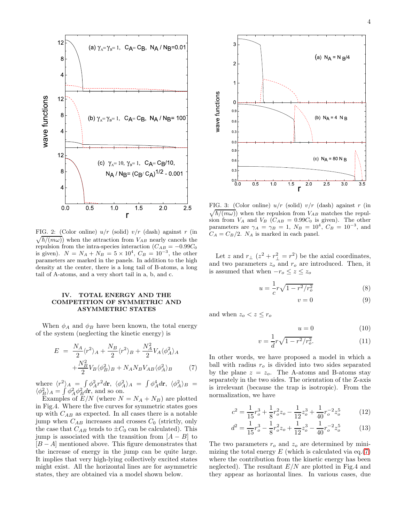

 $\sqrt{\hbar/(m\omega)}$  when the attraction from  $V_{AB}$  nearly cancels the FIG. 2: (Color online)  $u/r$  (solid)  $v/r$  (dash) against r (in repulsion from the intra-species interaction ( $C_{AB} = -0.99C_0$ ) is given).  $N = N_A + N_B = 5 \times 10^4$ ,  $C_B = 10^{-3}$ , the other parameters are marked in the panels. In addition to the high density at the center, there is a long tail of B-atoms, a long tail of A-atoms, and a very short tail in a, b, and c.

### IV. TOTAL ENERGY AND THE COMPETITION OF SYMMETRIC AND ASYMMETRIC STATES

When  $\phi_A$  and  $\phi_B$  have been known, the total energy of the system (neglecting the kinetic energy) is

<span id="page-3-0"></span>
$$
E = \frac{N_A}{2} \langle r^2 \rangle_A + \frac{N_B}{2} \langle r^2 \rangle_B + \frac{N_A^2}{2} V_A \langle \phi_A^2 \rangle_A
$$

$$
+ \frac{N_B^2}{2} V_B \langle \phi_B^2 \rangle_B + N_A N_B V_{AB} \langle \phi_A^2 \rangle_B \tag{7}
$$

where  $\langle r^2 \rangle_A = \int \phi_A^2 r^2 dr$ ,  $\langle \phi_A^2 \rangle_A = \int \phi_A^4 dr$ ,  $\langle \phi_A^2 \rangle_B =$  $\langle \phi_B^2 \rangle_A = \int \phi_A^2 \phi_B^2 d\mathbf{r}$ , and so on.

Examples of  $E/N$  (where  $N = N_A + N_B$ ) are plotted in Fig.4. Where the five curves for symmetric states goes up with  $C_{AB}$  as expected. In all cases there is a notable jump when  $C_{AB}$  increases and crosses  $C_0$  (strictly, only the case that  $C_{AB}$  tends to  $\pm C_0$  can be calculated). This jump is associated with the transition from  $[A - B]$  to  $[B - A]$  mentioned above. This figure demonstrates that the increase of energy in the jump can be quite large. It implies that very high-lying collectively excited states might exist. All the horizontal lines are for asymmetric states, they are obtained via a model shown below.



FIG. 3: (Color online)  $u/r$  (solid)  $v/r$  (dash) against r (in  $\sqrt{\hbar/(m\omega)}$  when the repulsion from  $V_{AB}$  matches the repulsion from  $V_A$  and  $V_B$  ( $C_{AB} = 0.99C_0$  is given). The other parameters are  $\gamma_A = \gamma_B = 1$ ,  $N_B = 10^4$ ,  $C_B = 10^{-3}$ , and  $C_A = C_B/2$ .  $N_A$  is marked in each panel.

Let z and  $r_{\perp}$   $(z^2 + r_{\perp}^2 = r^2)$  be the axial coordinates, and two parameters  $z_o$  and  $r_o$  are introduced. Then, it is assumed that when  $-r_o \leq z \leq z_o$ 

$$
u = \frac{1}{c}r\sqrt{1 - r^2/r_o^2}
$$
 (8)

$$
v = 0 \tag{9}
$$

and when  $z_o < z \leq r_o$ 

$$
u = 0 \tag{10}
$$

$$
v = \frac{1}{d}r\sqrt{1 - r^2/r_o^2}.
$$
 (11)

In other words, we have proposed a model in which a ball with radius  $r<sub>o</sub>$  is divided into two sides separated by the plane  $z = z_o$ . The A-atoms and B-atoms stay separately in the two sides. The orientation of the Z-axis is irrelevant (because the trap is isotropic). From the normalization, we have

$$
c^{2} = \frac{1}{15}r_{o}^{3} + \frac{1}{8}r_{o}^{2}z_{o} - \frac{1}{12}z_{o}^{3} + \frac{1}{40}r_{o}^{-2}z_{o}^{5}
$$
 (12)

$$
d^{2} = \frac{1}{15}r_{o}^{3} - \frac{1}{8}r_{o}^{2}z_{o} + \frac{1}{12}z_{o}^{3} - \frac{1}{40}r_{o}^{-2}z_{o}^{5}
$$
 (13)

The two parameters  $r<sub>o</sub>$  and  $z<sub>o</sub>$  are determined by minimizing the total energy  $E$  (which is calculated via eq.[\(7\)](#page-3-0) where the contribution from the kinetic energy has been neglected). The resultant  $E/N$  are plotted in Fig.4 and they appear as horizontal lines. In various cases, due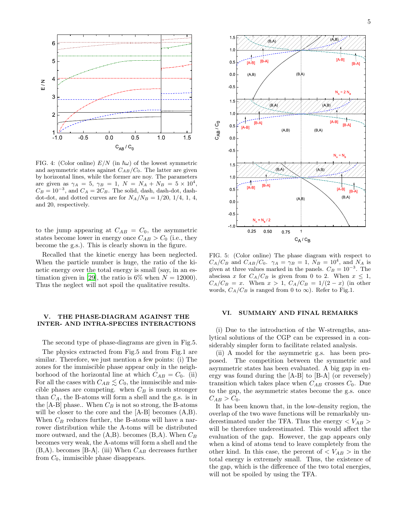

FIG. 4: (Color online)  $E/N$  (in  $\hbar\omega$ ) of the lowest symmetric and asymmetric states against  $C_{AB}/C_0$ . The latter are given by horizontal lines, while the former are noy. The parameters are given as  $\gamma_A = 5$ ,  $\gamma_B = 1$ ,  $N = N_A + N_B = 5 \times 10^4$ ,  $C_B = 10^{-3}$ , and  $C_A = 2C_B$ . The solid, dash, dash-dot, dashdot-dot, and dotted curves are for  $N_A/N_B = 1/20$ , 1/4, 1, 4, and 20, respectively.

to the jump appearing at  $C_{AB} = C_0$ , the asymmetric states become lower in energy once  $C_{AB} > C_0$  (i.e., they become the g.s.). This is clearly shown in the figure.

Recalled that the kinetic energy has been neglected. When the particle number is huge, the ratio of the kinetic energy over the total energy is small (say, in an es-timation given in [\[29\]](#page-7-9), the ratio is 6\% when  $N = 12000$ ). Thus the neglect will not spoil the qualitative results.

#### V. THE PHASE-DIAGRAM AGAINST THE INTER- AND INTRA-SPECIES INTERACTIONS

The second type of phase-diagrams are given in Fig.5.

The physics extracted from Fig.5 and from Fig.1 are similar. Therefore, we just mention a few points: (i) The zones for the immiscible phase appear only in the neighborhood of the horizontal line at which  $C_{AB} = C_0$ . (ii) For all the cases with  $C_{AB} \lesssim C_0$ , the immiscible and miscible phases are competing. when  $C_B$  is much stronger than  $C_A$ , the B-atoms will form a shell and the g.s. is in the  $[A-B]$  phase.. When  $C_B$  is not so strong, the B-atoms will be closer to the core and the [A-B] becomes  $(A,B)$ . When  $C_B$  reduces further, the B-atoms will have a narrower distribution while the A-toms will be distributed more outward, and the  $(A,B)$ . becomes  $(B,A)$ . When  $C_B$ becomes very weak, the A-atoms will form a shell and the  $(B,A)$ . becomes [B-A]. (iii) When  $C_{AB}$  decreases further from  $C_0$ , immiscible phase disappears.



FIG. 5: (Color online) The phase diagram with respect to  $C_A/C_B$  and  $C_{AB}/C_0$ .  $\gamma_A = \gamma_B = 1$ ,  $N_B = 10^4$ , and  $N_A$  is given at three values marked in the panels.  $C_B = 10^{-3}$ . The abscissa x for  $C_A/C_B$  is given from 0 to 2. When  $x \leq 1$ ,  $C_A/C_B = x$ . When  $x > 1$ ,  $C_A/C_B = 1/(2-x)$  (in other words,  $C_A/C_B$  is ranged from 0 to  $\infty$ ). Refer to Fig.1.

#### VI. SUMMARY AND FINAL REMARKS

(i) Due to the introduction of the W-strengths, analytical solutions of the CGP can be expressed in a considerably simpler form to facilitate related analysis.

(ii) A model for the asymmetric g.s. has been proposed. The competition between the symmetric and asymmetric states has been evaluated. A big gap in energy was found during the [A-B] to [B-A] (or reversely) transition which takes place when  $C_{AB}$  crosses  $C_0$ . Due to the gap, the asymmetric states become the g.s. once  $C_{AB} > C_0.$ 

It has been known that, in the low-density region, the overlap of the two wave functions will be remarkably underestimated under the TFA. Thus the energy  $\langle V_{AB} \rangle$ will be therefore underestimated. This would affect the evaluation of the gap. However, the gap appears only when a kind of atoms tend to leave completely from the other kind. In this case, the percent of  $\langle V_{AB} \rangle$  in the total energy is extremely small. Thus, the existence of the gap, which is the difference of the two total energies, will not be spoiled by using the TFA.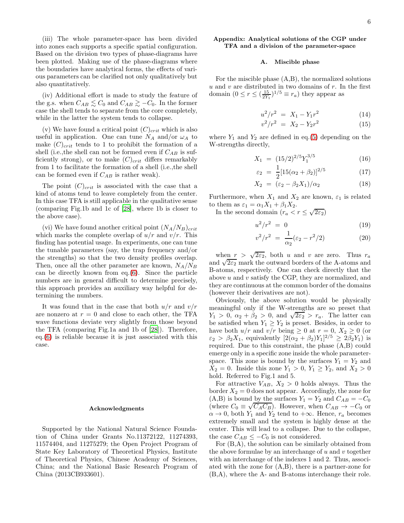(iii) The whole parameter-space has been divided into zones each supports a specific spatial configuration. Based on the division two types of phase-diagrams have been plotted. Making use of the phase-diagrams where the boundaries have analytical forms, the effects of various parameters can be clarified not only qualitatively but also quantitatively.

(iv) Additional effort is made to study the feature of the g.s. when  $C_{AB} \leq C_0$  and  $C_{AB} \geq -C_0$ . In the former case the shell tends to separate from the core completely, while in the latter the system tends to collapse.

(v) We have found a critical point  $(C)_{crit}$  which is also useful in application. One can tune  $N_A$  and/or  $\omega_A$  to make  $(C)_{crit}$  tends to 1 to prohibit the formation of a shell (i.e., the shell can not be formed even if  $C_{AB}$  is sufficiently strong), or to make  $(C)_{crit}$  differs remarkably from 1 to facilitate the formation of a shell (i.e.,the shell can be formed even if  $C_{AB}$  is rather weak).

The point  $(C)_{crit}$  is associated with the case that a kind of atoms tend to leave completely from the center. In this case TFA is still applicable in the qualitative sense (comparing Fig.1b and 1c of [\[28](#page-7-7)], where 1b is closer to the above case).

(vi) We have found another critical point  $(N_A/N_B)_{crit}$ which marks the complete overlap of  $u/r$  and  $v/r$ . This finding has potential usage. In experiments, one can tune the tunable parameters (say, the trap frequency and/or the strengths) so that the two density profiles overlap. Then, once all the other parameter are known,  $N_A/N_B$ can be directly known from eq.[\(6\)](#page-2-0). Since the particle numbers are in general difficult to determine precisely, this approach provides an auxiliary way helpful for determining the numbers.

It was found that in the case that both  $u/r$  and  $v/r$ are nonzero at  $r = 0$  and close to each other, the TFA wave functions deviate very slightly from those beyond the TFA (comparing Fig.1a and 1b of [\[28\]](#page-7-7)). Therefore, eq.[\(6\)](#page-2-0) is reliable because it is just associated with this case.

#### Acknowledgments

Supported by the National Natural Science Foundation of China under Grants No.11372122, 11274393, 11574404, and 11275279; the Open Project Program of State Key Laboratory of Theoretical Physics, Institute of Theoretical Physics, Chinese Academy of Sciences, China; and the National Basic Research Program of China (2013CB933601).

## Appendix: Analytical solutions of the CGP under TFA and a division of the parameter-space

#### A. Miscible phase

For the miscible phase (A,B), the normalized solutions  $u$  and  $v$  are distributed in two domains of  $r$ . In the first domain  $(0 \le r \le (\frac{15}{2Y_1})^{1/5} \equiv r_a)$  they appear as

$$
u^2/r^2 = X_1 - Y_1r^2 \tag{14}
$$

$$
v^2/r^2 = X_2 - Y_2r^2 \tag{15}
$$

where  $Y_1$  and  $Y_2$  are defined in eq.[\(5\)](#page-1-1) depending on the W-strengths directly,

<span id="page-5-0"></span>
$$
X_1 = (15/2)^{2/5} Y_1^{3/5} \tag{16}
$$

$$
\varepsilon_2 = \frac{1}{2} [15(\alpha_2 + \beta_2)]^{2/5} \tag{17}
$$

$$
X_2 = (\varepsilon_2 - \beta_2 X_1)/\alpha_2 \tag{18}
$$

Furthermore, when  $X_1$  and  $X_2$  are known,  $\varepsilon_1$  is related to them as  $\varepsilon_1 = \alpha_1 X_1 + \beta_1 X_2$ .

In the second domain  $(r_a < r \leq \sqrt{2\varepsilon_2})$ 

$$
u^2/r^2 = 0 \tag{19}
$$

$$
v^2/r^2 = \frac{1}{\alpha_2}(\varepsilon_2 - r^2/2)
$$
 (20)

when  $r > \sqrt{2\varepsilon_2}$ , both u and v are zero. Thus  $r_a$ and  $\sqrt{2\varepsilon_2}$  mark the outward borders of the A-atoms and B-atoms, respectively. One can check directly that the above u and v satisfy the CGP, they are normalized, and they are continuous at the common border of the domains (however their derivatives are not).

Obviously, the above solution would be physically meaningful only if the W-strengths are so preset that  $Y_1 > 0$ ,  $\alpha_2 + \beta_2 > 0$ , and  $\sqrt{2\varepsilon_2} > r_a$ . The latter can be satisfied when  $Y_1 \geq Y_2$  is preset. Besides, in order to have both  $u/r$  and  $v/r$  being  $\geq 0$  at  $r = 0$ ,  $X_2 \geq 0$  (or  $\varepsilon_2 > \beta_2 X_1$ , equivalently  $[2(\alpha_2 + \beta_2)Y_1]^{2/5} \geq 2\beta_2 Y_1$ ) is required. Due to this constraint, the phase (A,B) could emerge only in a specific zone inside the whole parameterspace. This zone is bound by the surfaces  $Y_1 = Y_2$  and  $X_2 = 0$ . Inside this zone  $Y_1 > 0$ ,  $Y_1 \ge Y_2$ , and  $X_2 > 0$ hold. Referred to Fig.1 and 5.

For attractive  $V_{AB}$ ,  $X_2 > 0$  holds always. Thus the border  $X_2 = 0$  does not appear. Accordingly, the zone for (A,B) is bound by the surfaces  $Y_1 = Y_2$  and  $C_{AB} = -C_0$ (where  $C_0 \equiv \sqrt{C_A C_B}$ ). However, when  $C_{AB} \rightarrow -C_0$  or  $\alpha \to 0$ , both  $Y_1$  and  $Y_2$  tend to  $+\infty$ . Hence,  $r_a$  becomes extremely small and the system is highly dense at the center. This will lead to a collapse. Due to the collapse, the case  $C_{AB} \leq -C_0$  is not considered.

For (B,A), the solution can be similarly obtained from the above formulae by an interchange of  $u$  and  $v$  together with an interchange of the indexes 1 and 2. Thus, associated with the zone for (A,B), there is a partner-zone for (B,A), where the A- and B-atoms interchange their role.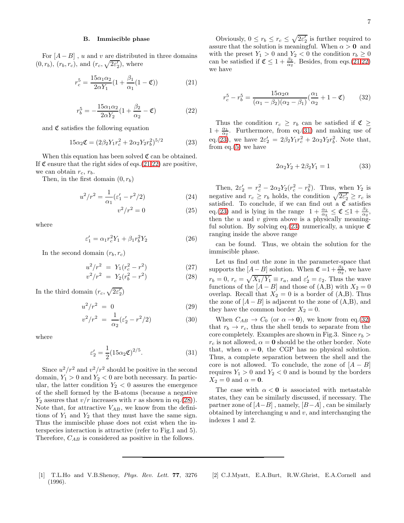#### B. Immiscible phase

For  $[A - B]$ , u and v are distributed in three domains  $(0, r_b)$ ,  $(r_b, r_c)$ , and  $(r_c, \sqrt{2\varepsilon_2'})$ , where

<span id="page-6-2"></span>
$$
r_c^5 = \frac{15\alpha_1\alpha_2}{2\alpha Y_1} (1 + \frac{\beta_1}{\alpha_1} (1 - \mathfrak{C}))
$$
 (21)

<span id="page-6-3"></span>
$$
r_b^5 = -\frac{15\alpha_1\alpha_2}{2\alpha Y_2}(1 + \frac{\beta_2}{\alpha_2} - \mathfrak{C})\tag{22}
$$

and  $\mathfrak C$  satisfies the following equation

<span id="page-6-6"></span>
$$
15\alpha_2 \mathfrak{C} = (2\beta_2 Y_1 r_c^2 + 2\alpha_2 Y_2 r_b^2)^{5/2} \tag{23}
$$

When this equation has been solved  $\mathfrak{C}$  can be obtained. If  $\mathfrak C$  ensure that the right sides of eqs.[\(21,](#page-6-2)[22\)](#page-6-3) are positive, we can obtain  $r_c$ ,  $r_b$ .

Then, in the first domain  $(0, r_b)$ 

$$
u^{2}/r^{2} = \frac{1}{\alpha_{1}} (\varepsilon_{1}' - r^{2}/2)
$$
 (24)

$$
v^2/r^2 = 0\tag{25}
$$

where

$$
\varepsilon_1' = \alpha_1 r_c^2 Y_1 + \beta_1 r_b^2 Y_2 \tag{26}
$$

In the second domain  $(r_b, r_c)$ 

<span id="page-6-4"></span>
$$
u^{2}/r^{2} = Y_{1}(r_{c}^{2} - r^{2})
$$
\n
$$
v^{2}/r^{2} = Y_{2}(r_{b}^{2} - r^{2})
$$
\n(27)

In the third domain  $(r_c, \sqrt{2\varepsilon_2'})$ 

$$
u^2/r^2 = 0 \tag{29}
$$

$$
v^2/r^2 = \frac{1}{\alpha_2} (\varepsilon_2' - r^2/2)
$$
 (30)

where

<span id="page-6-5"></span>
$$
\varepsilon_2' = \frac{1}{2} (15\alpha_2 \mathfrak{C})^{2/5}.
$$
 (31)

Since  $u^2/r^2$  and  $v^2/r^2$  should be positive in the second domain,  $Y_1 > 0$  and  $Y_2 < 0$  are both necessary. In particular, the latter condition  $Y_2 < 0$  assures the emergence of the shell formed by the B-atoms (because a negative  $Y_2$  assures that  $v/r$  increases with r as shown in eq.[\(28\)](#page-6-4)). Note that, for attractive  $V_{AB}$ , we know from the definitions of  $Y_1$  and  $Y_2$  that they must have the same sign. Thus the immiscible phase does not exist when the interspecies interaction is attractive (refer to Fig.1 and 5). Therefore,  $C_{AB}$  is considered as positive in the follows.

Obviously,  $0 \le r_b \le r_c \le \sqrt{2\varepsilon_2'}$  is further required to assure that the solution is meaningful. When  $\alpha > 0$  and with the preset  $Y_1 > 0$  and  $Y_2 < 0$  the condition  $r_b \geq 0$ can be satisfied if  $\mathfrak{C} \leq 1 + \frac{\beta_2}{\alpha_2}$ . Besides, from eqs.[\(21,](#page-6-2)[22\)](#page-6-3) we have

<span id="page-6-7"></span>
$$
r_c^5 - r_b^5 = \frac{15\alpha_2\alpha}{(\alpha_1 - \beta_2)(\alpha_2 - \beta_1)}(\frac{\alpha_1}{\alpha_2} + 1 - \mathfrak{C})
$$
 (32)

Thus the condition  $r_c \geq r_b$  can be satisfied if  $\mathfrak{C} \geq$  $1 + \frac{\alpha_1}{\alpha_2}$ . Furthermore, from eq.[\(31\)](#page-6-5) and making use of eq.[\(23\)](#page-6-6), we have  $2\varepsilon'_2 = 2\beta_2 Y_1 r_c^2 + 2\alpha_2 Y_2 r_b^2$ . Note that, from eq. $(5)$  we have

$$
2\alpha_2 Y_2 + 2\beta_2 Y_1 = 1 \tag{33}
$$

Then,  $2\varepsilon'_2 = r_c^2 - 2\alpha_2 Y_2 (r_c^2 - r_b^2)$ . Thus, when  $Y_2$  is negative and  $r_c \geq r_b$  holds, the condition  $\sqrt{2\varepsilon'_2} \geq r_c$  is satisfied. To conclude, if we can find out a  $\mathfrak C$  satisfies eq.[\(23\)](#page-6-6) and is lying in the range  $1 + \frac{\alpha_1}{\alpha_2} \leq \mathfrak{C} \leq 1 + \frac{\beta_2}{\alpha_2}$ , then the  $u$  and  $v$  given above is a physically meaning-ful solution. By solving eq.[\(23\)](#page-6-6) numerically, a unique  $\mathfrak C$ ranging inside the above range

can be found. Thus, we obtain the solution for the immiscible phase.

Let us find out the zone in the parameter-space that supports the  $[A-B]$  solution. When  $\mathfrak{C} = 1 + \frac{\beta_2}{\alpha_2}$ , we have  $r_b = 0, r_c = \sqrt{X_1/Y_1} \equiv r_a$ , and  $\varepsilon'_2 = \varepsilon_2$ . Thus the wave functions of the  $[A - B]$  and those of  $(A,B)$  with  $X_2 = 0$ overlap. Recall that  $X_2 = 0$  is a border of  $(A,B)$ . Thus the zone of  $[A - B]$  is adjacent to the zone of  $(A, B)$ , and they have the common border  $X_2 = 0$ .

When  $C_{AB} \rightarrow C_0$  (or  $\alpha \rightarrow 0$ ), we know from eq.[\(32\)](#page-6-7) that  $r_b \rightarrow r_c$ , thus the shell tends to separate from the core completely. Examples are shown in Fig.3. Since  $r_b$  >  $r_c$  is not allowed,  $\alpha = 0$  should be the other border. Note that, when  $\alpha = 0$ , the CGP has no physical solution. Thus, a complete separation between the shell and the core is not allowed. To conclude, the zone of  $[A - B]$ requires  $Y_1 > 0$  and  $Y_2 < 0$  and is bound by the borders  $X_2 = 0$  and  $\alpha = 0$ .

The case with  $\alpha < 0$  is associated with metastable states, they can be similarly discussed, if necessary. The partner zone of  $[A-B]$ , namely,  $[B-A]$ , can be similarly obtained by interchanging  $u$  and  $v$ , and interchanging the indexes 1 and 2.

<span id="page-6-0"></span>[1] T.L.Ho and V.B.Shenoy, *Phys. Rev. Lett.* 77, 3276 (1996).

<span id="page-6-1"></span>[2] C.J.Myatt, E.A.Burt, R.W.Ghrist, E.A.Cornell and